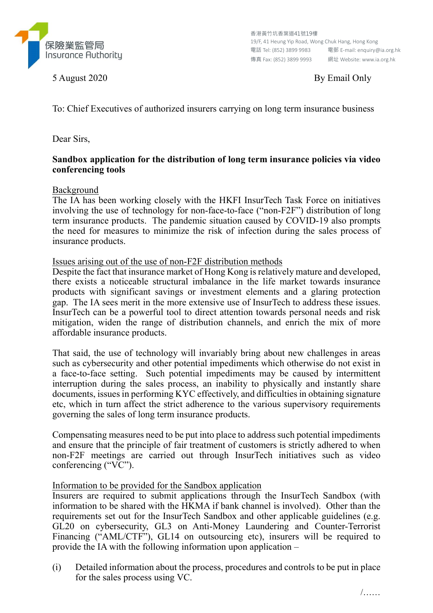

5 August 2020 By Email Only

To: Chief Executives of authorized insurers carrying on long term insurance business

Dear Sirs,

## Sandbox application for the distribution of long term insurance policies via video conferencing tools

Background

The IA has been working closely with the HKFI InsurTech Task Force on initiatives involving the use of technology for non-face-to-face ("non-F2F") distribution of long term insurance products. The pandemic situation caused by COVID-19 also prompts the need for measures to minimize the risk of infection during the sales process of insurance products.

Issues arising out of the use of non-F2F distribution methods

Despite the fact that insurance market of Hong Kong is relatively mature and developed, there exists a noticeable structural imbalance in the life market towards insurance products with significant savings or investment elements and a glaring protection gap. The IA sees merit in the more extensive use of InsurTech to address these issues. InsurTech can be a powerful tool to direct attention towards personal needs and risk mitigation, widen the range of distribution channels, and enrich the mix of more affordable insurance products.

That said, the use of technology will invariably bring about new challenges in areas such as cybersecurity and other potential impediments which otherwise do not exist in a face-to-face setting. Such potential impediments may be caused by intermittent interruption during the sales process, an inability to physically and instantly share documents, issues in performing KYC effectively, and difficulties in obtaining signature etc, which in turn affect the strict adherence to the various supervisory requirements governing the sales of long term insurance products.

Compensating measures need to be put into place to address such potential impediments and ensure that the principle of fair treatment of customers is strictly adhered to when non-F2F meetings are carried out through InsurTech initiatives such as video conferencing ("VC").

Information to be provided for the Sandbox application

Insurers are required to submit applications through the InsurTech Sandbox (with information to be shared with the HKMA if bank channel is involved). Other than the requirements set out for the InsurTech Sandbox and other applicable guidelines (e.g. GL20 on cybersecurity, GL3 on Anti-Money Laundering and Counter-Terrorist Financing ("AML/CTF"), GL14 on outsourcing etc), insurers will be required to provide the IA with the following information upon application –

(i) Detailed information about the process, procedures and controls to be put in place for the sales process using VC.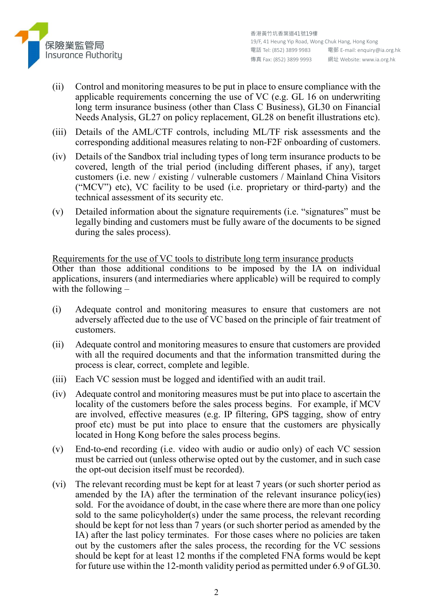

- (ii) Control and monitoring measures to be put in place to ensure compliance with the applicable requirements concerning the use of VC (e.g. GL 16 on underwriting long term insurance business (other than Class C Business), GL30 on Financial Needs Analysis, GL27 on policy replacement, GL28 on benefit illustrations etc).
- (iii) Details of the AML/CTF controls, including ML/TF risk assessments and the corresponding additional measures relating to non-F2F onboarding of customers.
- (iv) Details of the Sandbox trial including types of long term insurance products to be covered, length of the trial period (including different phases, if any), target customers (i.e. new / existing / vulnerable customers / Mainland China Visitors ("MCV") etc), VC facility to be used (i.e. proprietary or third-party) and the technical assessment of its security etc.
- (v) Detailed information about the signature requirements (i.e. "signatures" must be legally binding and customers must be fully aware of the documents to be signed during the sales process).

Requirements for the use of VC tools to distribute long term insurance products Other than those additional conditions to be imposed by the IA on individual applications, insurers (and intermediaries where applicable) will be required to comply with the following  $-$ 

- (i) Adequate control and monitoring measures to ensure that customers are not adversely affected due to the use of VC based on the principle of fair treatment of customers.
- (ii) Adequate control and monitoring measures to ensure that customers are provided with all the required documents and that the information transmitted during the process is clear, correct, complete and legible.
- (iii) Each VC session must be logged and identified with an audit trail.
- (iv) Adequate control and monitoring measures must be put into place to ascertain the locality of the customers before the sales process begins. For example, if MCV are involved, effective measures (e.g. IP filtering, GPS tagging, show of entry proof etc) must be put into place to ensure that the customers are physically located in Hong Kong before the sales process begins.
- (v) End-to-end recording (i.e. video with audio or audio only) of each VC session must be carried out (unless otherwise opted out by the customer, and in such case the opt-out decision itself must be recorded).
- (vi) The relevant recording must be kept for at least 7 years (or such shorter period as amended by the IA) after the termination of the relevant insurance policy(ies) sold. For the avoidance of doubt, in the case where there are more than one policy sold to the same policyholder(s) under the same process, the relevant recording should be kept for not less than 7 years (or such shorter period as amended by the IA) after the last policy terminates. For those cases where no policies are taken out by the customers after the sales process, the recording for the VC sessions should be kept for at least 12 months if the completed FNA forms would be kept for future use within the 12-month validity period as permitted under 6.9 of GL30.